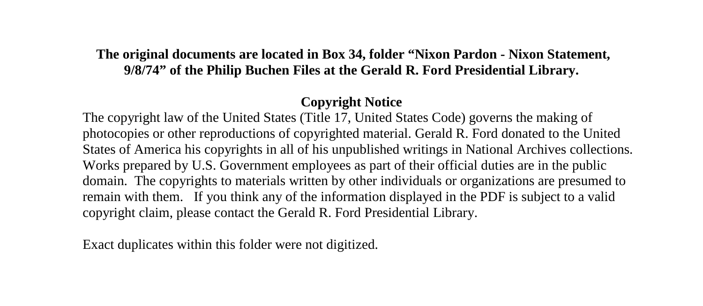## **The original documents are located in Box 34, folder "Nixon Pardon - Nixon Statement, 9/8/74" of the Philip Buchen Files at the Gerald R. Ford Presidential Library.**

## **Copyright Notice**

The copyright law of the United States (Title 17, United States Code) governs the making of photocopies or other reproductions of copyrighted material. Gerald R. Ford donated to the United States of America his copyrights in all of his unpublished writings in National Archives collections. Works prepared by U.S. Government employees as part of their official duties are in the public domain. The copyrights to materials written by other individuals or organizations are presumed to remain with them. If you think any of the information displayed in the PDF is subject to a valid copyright claim, please contact the Gerald R. Ford Presidential Library.

Exact duplicates within this folder were not digitized.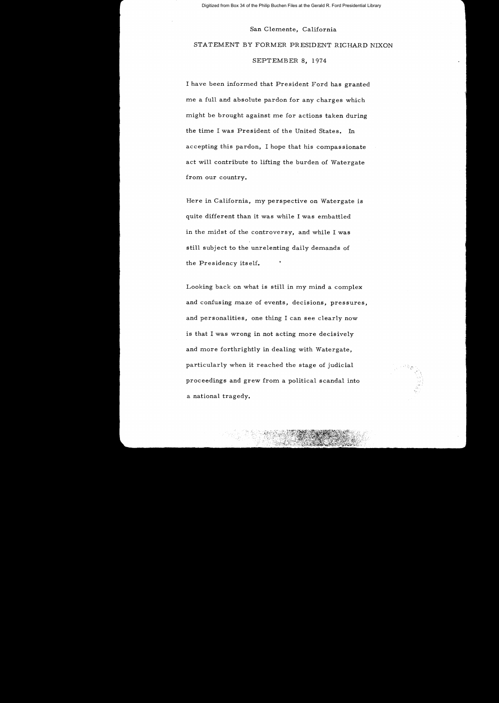Digitized from Box 34 of the Philip Buchen Files at the Gerald R. Ford Presidential Library

#### San Clemente, California

# STATEMENT BY FORMER PRESIDENT RICHARD NIXON

SEPTEMBER 8, 1974

I have been informed that President Ford has granted me a full and absolute pardon for any charges which might be brought against me for actions taken during the time I was President of the United States. In accepting this pardon, I hope that his compassionate act will contribute to lifting the burden of Watergate from our country.

Here in California, my perspective on Watergate is quite different than it was while I was embattled in the midst of the controversy, and while I was still subject to the unrelenting daily demands of the Presidency itself.

Looking back on what is still in my mind a complex and confusing maze of events, decisions, pressures, and personalities, one thing I can see clearly now is that I was wrong in not acting more decisively and more forthrightly in dealing with Watergate, particularly when it reached the stage of judicial proceedings and grew from a political scandal into a national tragedy.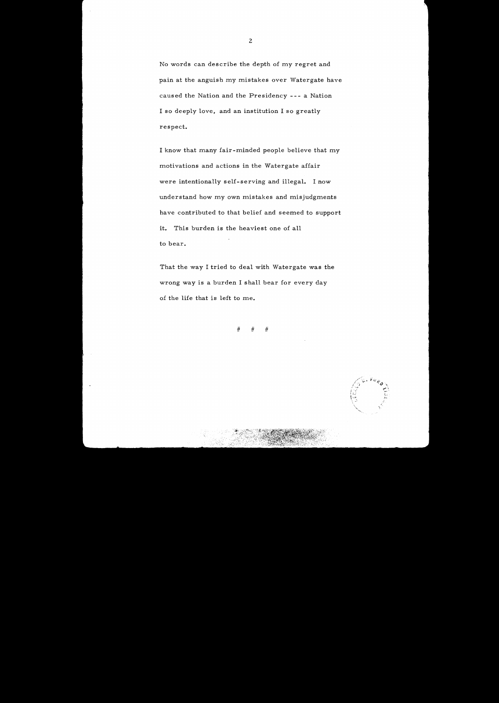No words can describe the depth of my regret and pain at the anguish my mistakes over Watergate have caused the Nation and the Presidency --- a Nation I so deeply love, and an institution I so greatly respect.

I know that many fair-minded people believe that my motivations and actions in the Watergate affair were intentionally self-serving and illegal. I now understand how my own mistakes and misjudgments have contributed to that belief and seemed to support it. This burden is the heaviest one of all to bear.

That the way I tried to deal with Watergate was the wrong way is a burden I shall bear for every day of the life that is left to me.

# # #



2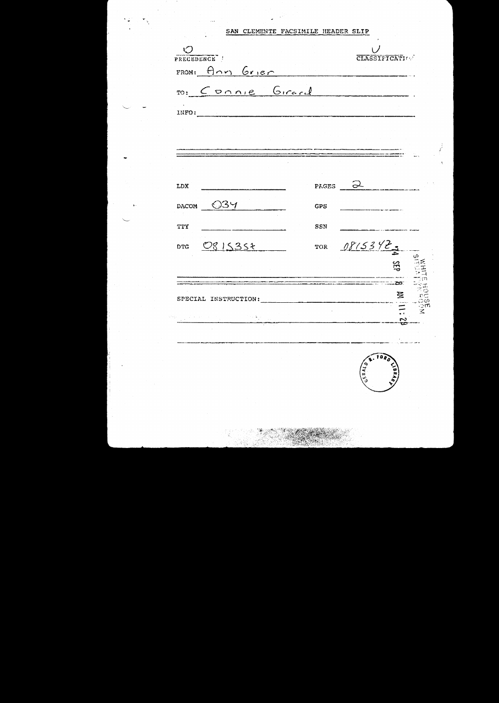SAN CLEMENTE FACSIMILE HEADER SLIP

| $\delta$ .<br>PRECEDENCE |                   |            |              | CLASSIFICATION  |                 |
|--------------------------|-------------------|------------|--------------|-----------------|-----------------|
|                          | FROM: Ann Grier   |            |              |                 |                 |
|                          | ro: Connie Girard |            |              |                 |                 |
| INFO:                    |                   |            |              |                 |                 |
|                          |                   |            |              |                 |                 |
|                          |                   |            |              |                 |                 |
| LDX                      |                   |            | - 2<br>PAGES |                 |                 |
| DACOM $\bigcirc$ 34      |                   | <b>GPS</b> |              |                 |                 |
| TTY                      |                   | SSN        |              |                 |                 |
| <b>DTG</b>               | 0815357           |            | TOR 0815342  |                 |                 |
|                          |                   |            |              | 35 <sub>o</sub> |                 |
| SPECIAL INSTRUCTION:     |                   |            |              | 圣               |                 |
| ή,                       |                   |            |              |                 | EC<br>COM<br>MC |
|                          |                   |            |              |                 |                 |
|                          |                   |            | 743.3        | $\tilde{a}$     |                 |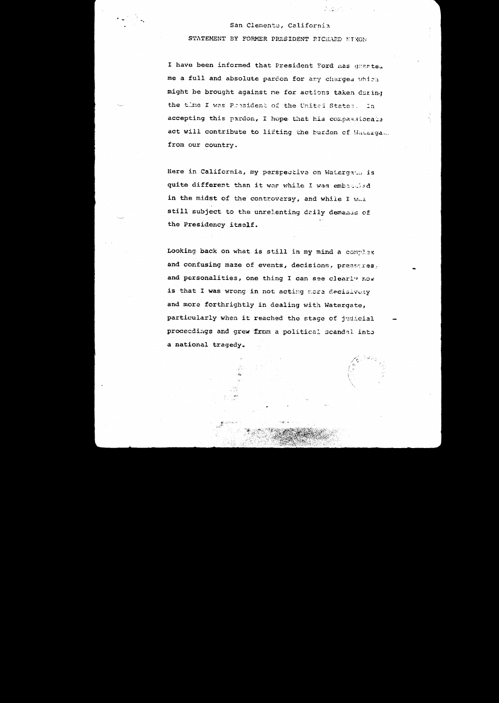#### San Clemente, California

 $\sim 100$  M  $_\odot$ 

STATEMENT BY FORMER PRESIDENT RICHARD NIXON

I have been informed that President Ford nas granted me a full and absolute pardon for any charges which might be brought against me for actions taken during the time I was President of the United States. In accepting this pardon, I hope that his compassionals act will contribute to lifting the burden of Watergat. from our country.

Here in California, my perspective on Watergato is quite different than it was while I was embataled in the midst of the controversy, and while I Was still subject to the unrelenting daily demands of the Presidency itself.

Looking back on what is still in my mind a complex and confusing maze of events, decisions, pressures, and personalities, one thing I can see clearly now is that I was wrong in not acting more decisively and more forthrightly in dealing with Watergate, particularly when it reached the stage of judicial proceedings and grew from a political scandal into a national tragedy.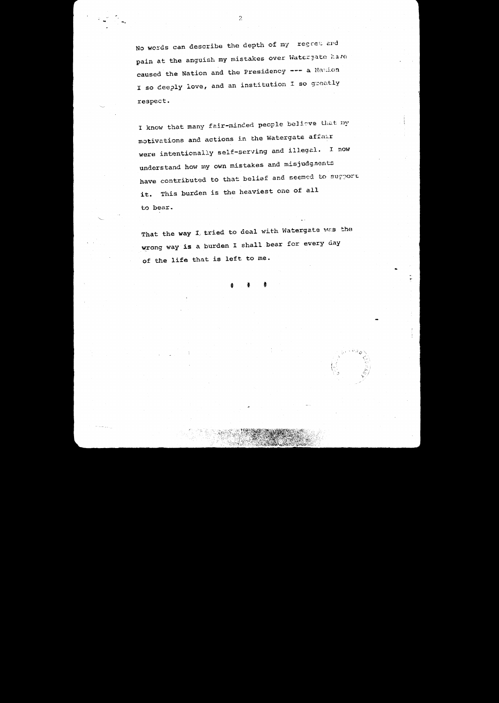No words can describe the depth of my regret and pain at the anguish my mistakes over Watergate have caused the Nation and the Presidency --- a Nation I so deeply love, and an institution I so greatly respect.

I know that many fair-minded people believe that my motivations and actions in the Watergate affair were intentionally self-serving and illegal. I now understand how my own mistakes and misjudgments have contributed to that belief and seemed to support it. This burden is the heaviest one of all to bear.

That the way I tried to deal with Watergate was the wrong way is a burden I shall bear for every day of the life that is left to me.



 $\bar{2}$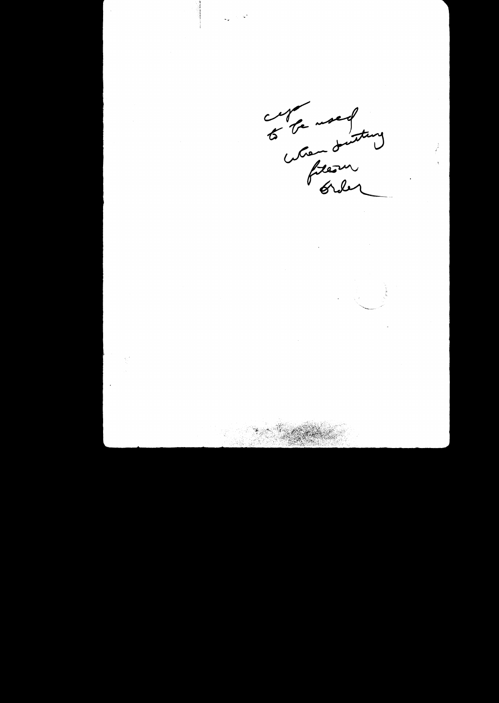

 $\ddot{\phantom{a}}$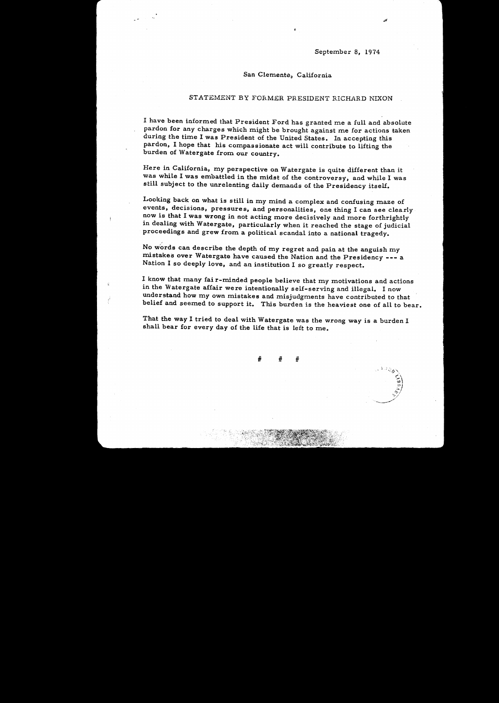September 8, 1974

' ~- *.:* .~'-lj--... \

 $\sum_{k=1}^{\infty}$ .स. ·"'-  $\cdot$  . ""';-/ '-\_\_>< \_\_ /.,.t.·

## San Clemente, California

## STATEMENT BY FORMER PRESIDENT RICHARD NIXON

I have been informed that President Ford has granted me a full and absolute pardon for any charges which might be brought against me for actions taken during the time I was President of the United States. In accepting this pardon, I hope that his compassionate act will contribute to lifting the burden of Watergate from our country.

Here in California, my perspective on Watergate is quite different than it was while I was embattled in the midst of the controversy, and while I was still subject to the unrelenting daily demands of the Presidency itself.

Looking back on what is still in my mind a complex and confusing maze of events, decisions, pressures, and personalities, one thing I can see clearly· now is that I was wrong in not acting more decisively and more forthrightly in dealing with Watergate, particularly when it reached the stage of judicial proceedings and grew from a political scandal into a national tragedy.

No words can describe the depth of my regret and pain at the anguish my mistakes over Watergate have caused the Nation and the Presidency --- <sup>a</sup> Nation I so deeply love, and an institution I so greatly respect.

 $\frac{d}{2\pi}$ 

I know that many fair-minded people believe that my motivations and actions in the Watergate affair were intentionally self-serving and illegal. I now understand how my own mistakes and misjudgments have contributed to that belief and seemed to support it. This burden is the heaviest one of all to bear.

That the way I tried to deal with Watergate was the wrong way is a burden I shall bear for every day of the life that is left to me.

> # # #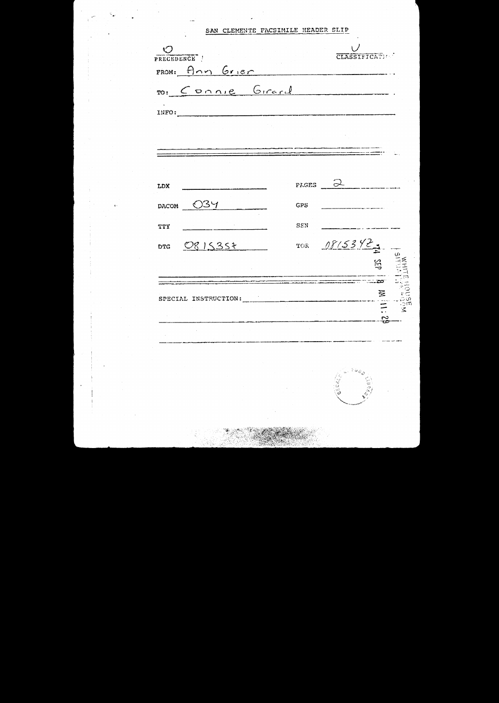## SAN CLEMENTE FACSIMILE HEADER SLIP

| INFO:        | ro: Connie Girard |            |             |    |
|--------------|-------------------|------------|-------------|----|
|              |                   |            |             |    |
|              |                   |            |             |    |
| LDX          |                   |            | PAGES 2     |    |
| <b>DACOM</b> | - 034             | <b>GPS</b> |             |    |
| TTY          |                   | SSN        |             |    |
|              | DTG 0815357       |            | TOR 08/53/2 |    |
|              |                   |            |             | 35 |
|              |                   |            |             | 写  |

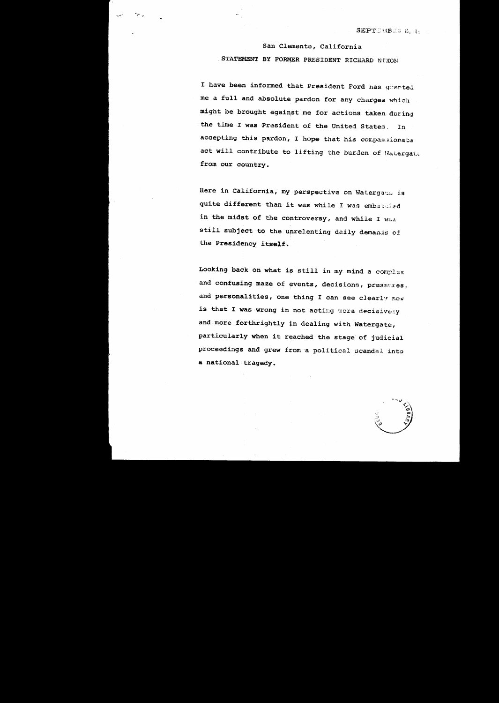San Clemente, California STATEMENT BY FORMER PRESIDENT RICHARD NIXON

 $\mathcal{T}$  ,

I have been informed that President Ford has granted me a full and absolute pardon for any charges which might be brought against me for actions taken during the time I was President of the United States. In accepting this pardon, I hope that his compassionate act will contribute to lifting the burden of Watergat. from our country.

Here in California, my perspective on Watergate is quite different than it was while I was embattied in the midst of the controversy, and while I was still subject to the unrelenting daily demands of the Presidency itself.

Looking back on what is still in my mind a complex and confusing maze of events, decisions, pressures, and personalities, one thing I can see clearly now is that I was wrong in not acting more decisively and more forthrightly in dealing with Watergate, particularly when it reached the stage of judicial proceedings and grew from a political acandal into a national tragedy.